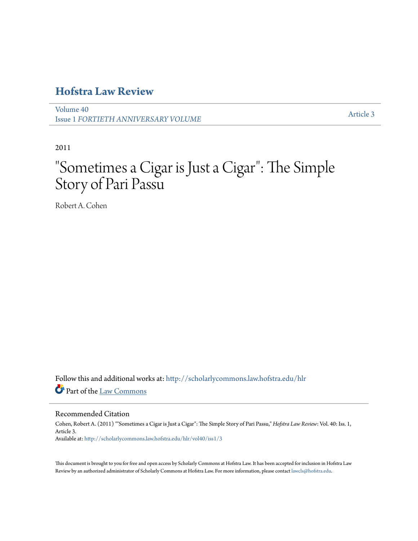## **[Hofstra Law Review](http://scholarlycommons.law.hofstra.edu/hlr?utm_source=scholarlycommons.law.hofstra.edu%2Fhlr%2Fvol40%2Fiss1%2F3&utm_medium=PDF&utm_campaign=PDFCoverPages)**

[Volume 40](http://scholarlycommons.law.hofstra.edu/hlr/vol40?utm_source=scholarlycommons.law.hofstra.edu%2Fhlr%2Fvol40%2Fiss1%2F3&utm_medium=PDF&utm_campaign=PDFCoverPages) Issue 1 *[FORTIETH ANNIVERSARY VOLUME](http://scholarlycommons.law.hofstra.edu/hlr/vol40/iss1?utm_source=scholarlycommons.law.hofstra.edu%2Fhlr%2Fvol40%2Fiss1%2F3&utm_medium=PDF&utm_campaign=PDFCoverPages)*

[Article 3](http://scholarlycommons.law.hofstra.edu/hlr/vol40/iss1/3?utm_source=scholarlycommons.law.hofstra.edu%2Fhlr%2Fvol40%2Fiss1%2F3&utm_medium=PDF&utm_campaign=PDFCoverPages)

2011

# "Sometimes a Cigar is Just a Cigar": The Simple Story of Pari Passu

Robert A. Cohen

Follow this and additional works at: [http://scholarlycommons.law.hofstra.edu/hlr](http://scholarlycommons.law.hofstra.edu/hlr?utm_source=scholarlycommons.law.hofstra.edu%2Fhlr%2Fvol40%2Fiss1%2F3&utm_medium=PDF&utm_campaign=PDFCoverPages) Part of the [Law Commons](http://network.bepress.com/hgg/discipline/578?utm_source=scholarlycommons.law.hofstra.edu%2Fhlr%2Fvol40%2Fiss1%2F3&utm_medium=PDF&utm_campaign=PDFCoverPages)

#### Recommended Citation

Cohen, Robert A. (2011) ""Sometimes a Cigar is Just a Cigar": The Simple Story of Pari Passu," *Hofstra Law Review*: Vol. 40: Iss. 1, Article 3. Available at: [http://scholarlycommons.law.hofstra.edu/hlr/vol40/iss1/3](http://scholarlycommons.law.hofstra.edu/hlr/vol40/iss1/3?utm_source=scholarlycommons.law.hofstra.edu%2Fhlr%2Fvol40%2Fiss1%2F3&utm_medium=PDF&utm_campaign=PDFCoverPages)

This document is brought to you for free and open access by Scholarly Commons at Hofstra Law. It has been accepted for inclusion in Hofstra Law Review by an authorized administrator of Scholarly Commons at Hofstra Law. For more information, please contact [lawcls@hofstra.edu](mailto:lawcls@hofstra.edu).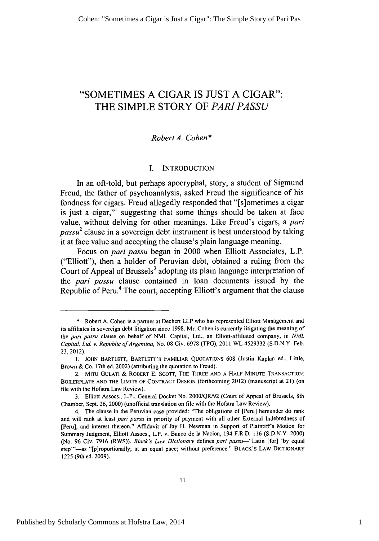## "SOMETIMES **A** CIGAR **IS JUST A** CIGAR": THE **SIMPLE** STORY OF *PARI PASSU*

#### *Robert A. Cohen\**

#### I. INTRODUCTION

In an oft-told, but perhaps apocryphal, story, a student of Sigmund Freud, the father of psychoanalysis, asked Freud the significance of his fondness for cigars. Freud allegedly responded that "[s]ometimes a cigar is just a cigar,"' suggesting that some things should be taken at face value, without delving for other meanings. Like Freud's cigars, a pari *passu2* clause in a sovereign debt instrument is best understood by taking it at face value and accepting the clause's plain language meaning.

Focus on pari *passu* began in 2000 when Elliott Associates, L.P. ("Elliott"), then a holder of Peruvian debt, obtained a ruling from the Court of Appeal of Brussels<sup>3</sup> adopting its plain language interpretation of the pari *passu* clause contained in loan documents issued by the Republic of Peru.<sup>4</sup> The court, accepting Elliott's argument that the clause

<sup>\*</sup> Robert A. Cohen is a partner at Dechert LLP who has represented Elliott Management and its affiliates in sovereign debt litigation since 1998. Mr. Cohen is currently litigating the meaning of the pari *passu* clause on behalf of NML Capital, Ltd., an Elliott-affiliated company, in *NML Capital, Ltd. v. Republic ofArgentina,* No. 08 Civ. 6978 (TPG), 2011 WL 4529332 (S.D.N.Y. Feb. 23, 2012).

**<sup>1.</sup>** JOHN BARTLETT, BARTLETT'S FAMILIAR QUOTATIONS 608 (Justin Kaplan ed., Little, Brown & Co. 17th ed. 2002) (attributing the quotation to Freud).

<sup>2.</sup> MITU GULATI & ROBERT E. SCOTT, THE THREE AND A HALF MINUTE TRANSACTION: BOILERPLATE **AND** THE LIMITS OF CONTRACT DESIGN (forthcoming 2012) (manuscript at 21) (on file with the Hofstra Law Review).

<sup>3.</sup> Elliott Assocs., L.P., General Docket No. 2000/QR/92 (Court of Appeal of Brussels, 8th Chamber, Sept. 26, 2000) (unofficial translation on file with the Hofstra Law Review).

<sup>4.</sup> The clause in the Peruvian case provided: "The obligations of [Peru] hereunder do rank and will rank at least pari *passu* in priority of payment with all other External Indebtedness of [Peru], and interest thereon." Affidavit of Jay H. Newman in Support of Plaintiff's Motion for Summary Judgment, Elliott Assocs., L.P. v. Banco de la Nacion, 194 F.R.D. 116 **(S.D.N.Y.** 2000) (No. 96 Civ. 7916 (RWS)). *Black's Law Dictionary* defines pari *passu-"Latin* [for] 'by equal step"'-as "[p]roportionally; at an equal pace; without preference." BLACK'S LAW DICTIONARY 1225 (9th ed. 2009).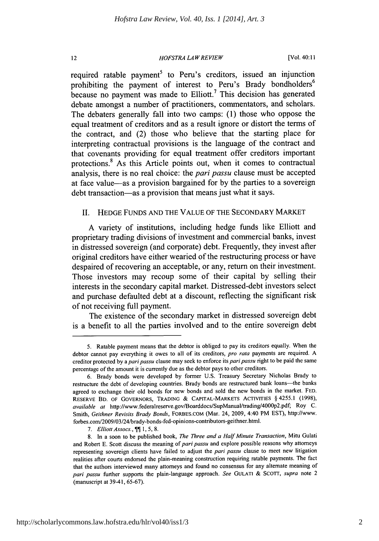#### *HOFSTRA LAW REVIEW*

 $12$ 

[Vol. 40:11

required ratable payment<sup>5</sup> to Peru's creditors, issued an injunction prohibiting the payment of interest to Peru's Brady bondholders<sup>6</sup> because no payment was made to Elliott.<sup>7</sup> This decision has generated debate amongst a number of practitioners, commentators, and scholars. The debaters generally fall into two camps: (1) those who oppose the equal treatment of creditors and as a result ignore or distort the terms of the contract, and (2) those who believe that the starting place for interpreting contractual provisions is the language of the contract and that covenants providing for equal treatment offer creditors important protections.<sup>8</sup> As this Article points out, when it comes to contractual analysis, there is no real choice: the *pari passu* clause must be accepted at face value-as a provision bargained for by the parties to a sovereign debt transaction—as a provision that means just what it says.

#### II. HEDGE FUNDS AND THE VALUE OF THE SECONDARY MARKET

A variety of institutions, including hedge funds like Elliott and proprietary trading divisions of investment and commercial banks, invest in distressed sovereign (and corporate) debt. Frequently, they invest after original creditors have either wearied of the restructuring process or have despaired of recovering an acceptable, or any, return on their investment. Those investors may recoup some of their capital by selling their interests in the secondary capital market. Distressed-debt investors select and purchase defaulted debt at a discount, reflecting the significant risk of not receiving full payment.

The existence of the secondary market in distressed sovereign debt is a benefit to all the parties involved and to the entire sovereign debt

<sup>5.</sup> Ratable payment means that the debtor is obliged to pay its creditors equally. When the debtor cannot pay everything it owes to all of its creditors, *pro* rata payments are required. A creditor protected by *aparipassu* clause may seek to enforce its *paripassu* right to be paid the same percentage of the amount it is currently due as the debtor pays to other creditors.

<sup>6.</sup> Brady bonds were developed by former U.S. Treasury Secretary Nicholas Brady to restructure the debt of developing countries. Brady bonds are restructured bank loans-the banks agreed to exchange their old bonds for new bonds and sold the new bonds in the market. FED. RESERVE BD. OF GOVERNORS, TRADING & CAPITAL-MARKETS ACTIVITIES § 4255.1 (1998), *available at http://www.federalreserve.gov/Boarddocs/SupManual/trading/4000p2.pdf*; Roy C. Smith, Geithner Revisits Brady Bonds, FORBES.COM (Mar. 24, 2009, 4:40 PM EST), http://www. forbes.com/2009/03/24/brady-bonds-fed-opinions-contributors-geithner.html.

<sup>7.</sup> Elliott Assocs., **11** 1, 5, 8.

<sup>8.</sup> In a soon to be published book, *The Three and a Half Minute Transaction,* Mitu Gulati and Robert E. Scott discuss the meaning of pari passu and explore possible reasons why attorneys representing sovereign clients have failed to adjust the *pari passu* clause to meet new litigation realities after courts endorsed the plain-meaning construction requiring ratable payments. The fact that the authors interviewed many attorneys and found no consensus for any alternate meaning of *pari passu* further supports the plain-language approach. *See* GULATI & SCOTT, *supra* note 2 (manuscript at 39-41, 65-67).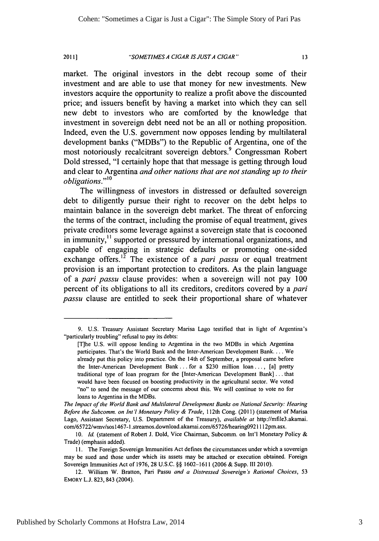*"SOMETIMES A CIGAR IS JUSTA CIGAR"* **2011]**

 $13$ 

market. The original investors in the debt recoup some of their investment and are able to use that money for new investments. New investors acquire the opportunity to realize a profit above the discounted price; and issuers benefit **by** having a market into which they can sell new debt to investors who are comforted **by** the knowledge that investment in sovereign debt need not be an all or nothing proposition. Indeed, even the **U.S.** government now opposes lending **by** multilateral development banks ("MDBs") to the Republic of Argentina, one of the most notoriously recalcitrant sovereign debtors.<sup>9</sup> Congressman Robert Dold stressed, **"I** certainly hope that that message is getting through loud and clear to Argentina *and other nations that are not standing up to their* and elear to *r* and the *n* 

The willingness of investors in distressed or defaulted sovereign debt to diligently pursue their right to recover on the debt helps to maintain balance in the sovereign debt market. The threat of enforcing the terms of the contract, including the promise of equal treatment, gives private creditors some leverage against a sovereign state that is cocooned in immunity,<sup>11</sup> supported or pressured by international organizations, and capable of engaging in strategic defaults or promoting one-sided exchange offers.<sup>12</sup> The existence of a *pari passu* or equal treatment provision is an important protection to creditors. As the plain language of a **pari** *passu* clause provides: when a sovereign will not pay **100** percent of its obligations to all its creditors, creditors covered **by** a **pari** *passu* clause are entitled to seek their proportional share of whatever

*The Impact of the World Bank and Multilateral Development Banks on National Security: Hearing Before the Subcomm. on Int'l Monetary Policy & Trade,* **112th** Cong. (2011) (statement of Marisa Lago, Assistant Secretary, **U.S.** Department of the Treasury), *available at* http://mfile3.akamai. com/65722/wmv/sos 1467-1 .streamos.download.akamai.com/65726/hearing0921112pm.asx.

**<sup>9.</sup> U.S.** Treasury Assistant Secretary Marisa Lago testified that in light of Argentina's "particularly troubling" refusal to pay its debts:

<sup>[</sup>T]he **U.S.** will oppose lending to Argentina in the two MDBs in which Argentina participates. That's the World Bank and the Inter-American Development **Bank....** We already put this policy into practice. On the 14th of September, a proposal came before the Inter-American Development Bank **...** for a **\$230** million loan **....** [a] pretty traditional type of loan program for the [Inter-American Development Bank] **...** that would have been focused on boosting productivity in the agricultural sector. We voted "no" to send the message of our concerns about this. We will continue to vote no for loans to Argentina in the MDBs.

**<sup>10.</sup> Id.** (statement of Robert **J.** Dold, Vice Chairman, Subcomm. on Int'l Monetary Policy **&** Trade) (emphasis added).

**<sup>11.</sup>** The Foreign Sovereign Immunities Act defines the circumstances under which a sovereign may be sued and those under which its assets may be attached or execution obtained. Foreign Sovereign Immunities Act of **1976, 28 U.S.C. §§ 1602-1611 (2006 &** Supp. **1II** 2010).

<sup>12.</sup> William W. Bratton, Pari Passu *and a Distressed Sovereign's Rational Choices,* **53 EMORY L.J. 823,** 843 (2004).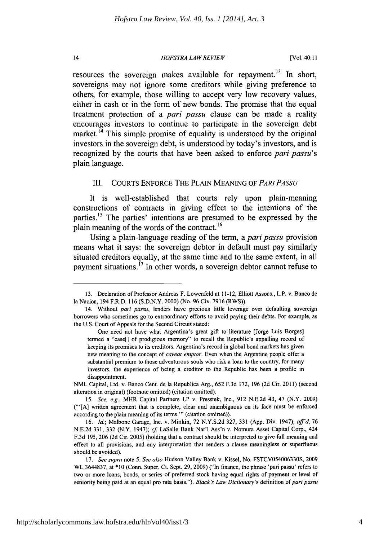#### *HOFSTRA LAW REVIEW*

 $14$ 

resources the sovereign makes available for repayment.<sup>13</sup> In short, sovereigns may not ignore some creditors while giving preference to others, for example, those willing to accept very low recovery values, either in cash or in the form of new bonds. The promise that the equal treatment protection of a *pari passu* clause can be made a reality encourages investors to continue to participate in the sovereign debt market.<sup>14</sup> This simple promise of equality is understood by the original investors in the sovereign debt, is understood by today's investors, and is recognized by the courts that have been asked to enforce *pari passu's* plain language.

#### III. COURTS ENFORCE THE PLAIN MEANING OF *PAR1PASSU*

It is well-established that courts rely upon plain-meaning constructions of contracts in giving effect to the intentions of the parties.<sup>15</sup> The parties' intentions are presumed to be expressed by the plain meaning of the words of the contract. **<sup>16</sup>**

Using a plain-language reading of the term, a *pari passu* provision means what it says: the sovereign debtor in default must pay similarly situated creditors equally, at the same time and to the same extent, in all payment situations.<sup>17</sup> In other words, a sovereign debtor cannot refuse to

<sup>13.</sup> Declaration of Professor Andreas F. Lowenfeld at 11-12, Elliott Assocs., L.P. v. Banco de la Nacion, 194 F.R.D. 116 (S.D.N.Y. 2000) (No. 96 Civ. 7916 (RWS)).

<sup>14.</sup> Without *pari passu,* lenders have precious little leverage over defaulting sovereign borrowers who sometimes go to extraordinary efforts to avoid paying their debts. For example, as the U.S. Court of Appeals for the Second Circuit stated:

One need not have what Argentina's great gift to literature [Jorge Luis Borges] termed a "case[] of prodigious memory" to recall the Republic's appalling record of keeping its promises to its creditors. Argentina's record in global bond markets has given new meaning to the concept of *caveat emptor.* Even when the Argentine people offer a substantial premium to those adventurous souls who risk a loan to the country, for many investors, the experience of being a creditor to the Republic has been a profile in disappointment.

NML Capital, Ltd. v. Banco Cent. de la Republica Arg., 652 F.3d 172, 196 (2d Cir. 2011) (second alteration in original) (footnote omitted) (citation omitted).

*<sup>15.</sup> See, e.g.,* MHR Capital Partners LP v. Presstek, Inc., 912 N.E.2d 43, 47 (N.Y. 2009) ("'[A] written agreement that is complete, clear and unambiguous on its face must be enforced according to the plain meaning of its terms."' (citation omitted)).

<sup>16.</sup> *Id.;* Malbone Garage, Inc. v. Minkin, 72 N.Y.S.2d 327, 331 (App. Div. 1947), *aff'd,* 76 N.E.2d 331, 332 (N.Y. 1947); *cf* LaSalle Bank Nat'l Ass'n v. Nomura Asset Capital Corp., 424 F.3d 195, 206 (2d Cir. 2005) (holding that a contract should be interpreted to give full meaning and effect to all provisions, and any interpretation that renders a clause meaningless or superfluous should be avoided).

<sup>17.</sup> *See supra* note 5. *See also* Hudson Valley Bank v. Kissel, No. FSTCV054006330S, 2009 WL 3644837, at \*10 (Conn. Super. Ct. Sept. 29, 2009) ("In finance, the phrase 'pari passu' refers to two or more loans, bonds, or series of preferred stock having equal rights of payment or level of seniority being paid at an equal pro rata basis."). *Black's Law Dictionary's* definition of *pari passu*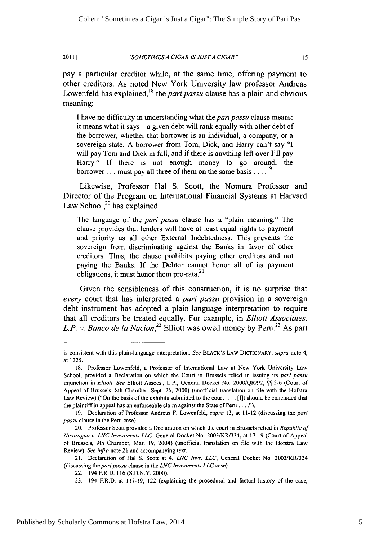*"SOMETIMES A CIGAR IS JUSTA CIGAR"* 2011]

 $15$ 

pay a particular creditor while, at the same time, offering payment to other creditors. As noted New York University law professor Andreas Lowenfeld has explained,<sup>18</sup> the *pari passu* clause has a plain and obvious meaning:

I have no difficulty in understanding what the *pari passu* clause means: it means what it says—a given debt will rank equally with other debt of the borrower, whether that borrower is an individual, a company, or a sovereign state. A borrower from Tom, Dick, and Harry can't say "I will pay Tom and Dick in full, and if there is anything left over I'll pay Harry." If there is not enough money to go around, the borrower... must pay all three of them on the same basis .... **<sup>19</sup>**

Likewise, Professor Hal S. Scott, the Nomura Professor and Director of the Program on International Financial Systems at Harvard Law School,<sup>20</sup> has explained:

The language of the *pari passu* clause has a "plain meaning." The clause provides that lenders will have at least equal rights to payment and priority as all other External Indebtedness. This prevents the sovereign from discriminating against the Banks in favor of other creditors. Thus, the clause prohibits paying other creditors and not paying the Banks. If the Debtor cannot honor all of its payment obligations, it must honor them pro-rata. $21$ 

Given the sensibleness of this construction, it is no surprise that *every* court that has interpreted a *pari passu* provision in a sovereign debt instrument has adopted a plain-language interpretation to require that all creditors be treated equally. For example, in *Elliott Associates, L.P. v. Banco de la Nacion*<sup>22</sup> Elliott was owed money by Peru.<sup>23</sup> As part

is consistent with this plain-language interpretation. *See* BLACK'S LAW DICTIONARY, *supra* note 4, at 1225.

<sup>18.</sup> Professor Lowenfeld, a Professor of International Law at New York University Law School, provided a Declaration on which the Court in Brussels relied in issuing its *pari passu* injunction in *Elliott. See* Elliott Assocs., L.P., General Docket No. 2000/QR/92,  $\P$  5-6 (Court of Appeal of Brussels, 8th Chamber, Sept. 26, 2000) (unofficial translation on file with the Hofstra Law Review) ("On the basis of the exhibits submitted to the court **....** [l]t should be concluded that the plaintiff in appeal has an enforceable claim against the State of Peru **.... ").**

<sup>19.</sup> Declaration of Professor Andreas F. Lowenfeld, supra 13, at 11-12 (discussing the *pari passu* clause in the Peru case).

<sup>20.</sup> Professor Scott provided a Declaration on which the court in Brussels relied in *Republic of* Nicaragua *v. LNC Investments LLC.* General Docket No. 2003/KR/334, at 17-19 (Court of Appeal of Brussels, 9th Chamber, Mar. 19, 2004) (unofficial translation on file with the Hofstra Law Review). *See infra* note 21 and accompanying text.

<sup>21.</sup> Declaration of Hal S. Scott at 4, *LNC Invs. LLC,* General Docket No. 2003/KR/334 (discussing the *paripassu* clause in the *LNC Investments LLC* case).

<sup>22. 194</sup> F.R.D. 116 (S.D.N.Y. 2000).

<sup>23. 194</sup> F.R.D. at 117-19, 122 (explaining the procedural and factual history of the case,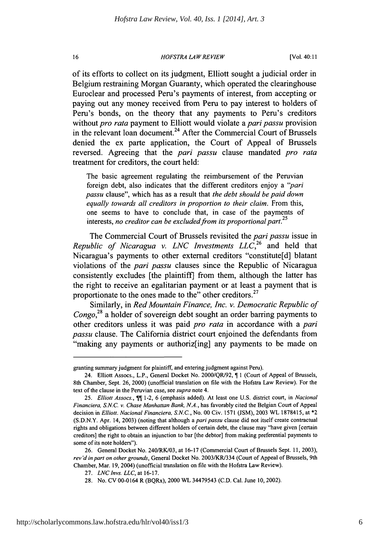#### *HOFSTRA LA W RE VIEW*

of its efforts to collect on its judgment, Elliott sought a judicial order in Belgium restraining Morgan Guaranty, which operated the clearinghouse Euroclear and processed Peru's payments of interest, from accepting or paying out any money received from Peru to pay interest to holders of Peru's bonds, on the theory that any payments to Peru's creditors without *pro rata* payment to Elliott would violate a **pari** *passu* provision in the relevant loan document.24 After the Commercial Court of Brussels denied the ex parte application, the Court of Appeal of Brussels reversed. Agreeing that the **pari** *passu* clause mandated *pro rata* treatment for creditors, the court held:

The basic agreement regulating the reimbursement of the Peruvian foreign debt, also indicates that the different creditors enjoy a **"pari** *passu* clause", which has as a result that *the debt should be paid down equally towards all creditors in proportion to their claim.* From this, one seems to have to conclude that, in case of the payments of interests, *no creditor can be excluded from its proportional part.* <sup>25</sup>

The Commercial Court of Brussels revisited the pari *passu* issue in *Republic of Nicaragua v. LNC Investments LLC,26* and held that Nicaragua's payments to other external creditors "constitute[d] blatant violations of the pari *passu* clauses since the Republic of Nicaragua consistently excludes [the plaintiff] from them, although the latter has the right to receive an egalitarian payment or at least a payment that is proportionate to the ones made to the" other creditors.<sup>27</sup>

Similarly, in *Red Mountain Finance, Inc. v. Democratic Republic of Congo,28* a holder of sovereign debt sought an order barring payments to other creditors unless it was paid *pro rata* in accordance with a pari *passu* clause. The California district court enjoined the defendants from "making any payments or authoriz[ing] any payments to be made on

granting summary judgment for plaintiff, and entering judgment against Peru).

<sup>24.</sup> Elliott Assocs., L.P., General Docket No. 2000/QR/92, ¶1 (Court of Appeal of Brussels, 8th Chamber, Sept. 26, 2000) (unofficial translation on file with the Hofstra Law Review). For the text of the clause in the Peruvian case, see *supra* note 4.

<sup>25.</sup> Elliott Assocs.,  $\P\P$ 1-2, 6 (emphasis added). At least one U.S. district court, in *Nacional Financiera,* S.N.C. *v. Chase Manhattan Bank, N.A.,* has favorably cited the Belgian Court of Appeal decision in Elliott. *Nacional Financiera,* S.N.C., No. 00 Civ. 1571 (JSM), 2003 WL 1878415, at \*2 (S.D.N.Y. Apr. 14, 2003) (noting that although a *paripassu* clause did not itself create contractual rights and obligations between different holders of certain debt, the clause may "have given [certain creditors] the right to obtain an injunction to bar [the debtor] from making preferential payments to some of its note holders").

<sup>26.</sup> General Docket No. 240/RK/03, at 16-17 (Commercial Court of Brussels Sept. 11, 2003), *rev 'd in part on other grounds,* General Docket No. 2003/KR/334 (Court of Appeal of Brussels, 9th Chamber, Mar. 19, 2004) (unofficial translation on file with the Hofstra Law Review).

<sup>27.</sup> *LNClnvs. LLC, at* 16-17.

<sup>28.</sup> No. CV 00-0164 R (BQRx), 2000 WL 34479543 (C.D. Cal. June 10, 2002).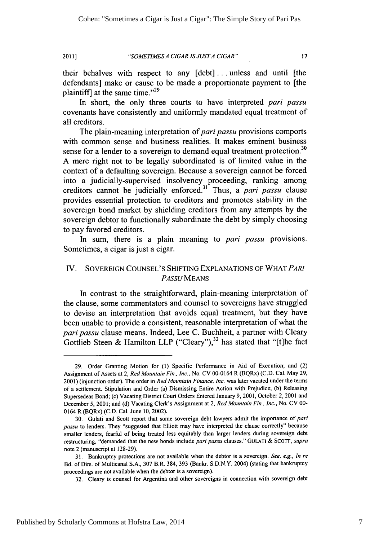*"SOMETIMES A CIGAR IS JUSTA CIGAR"* **2011]**

 $17$ 

their behalves with respect to any [debt] ... unless and until [the defendants] make or cause to be made a proportionate payment to [the plaintiff] at the same time." $^{29}$ 

In short, the only three courts to have interpreted pari *passu* covenants have consistently and uniformly mandated equal treatment of all creditors.

The plain-meaning interpretation of pari *passu* provisions comports with common sense and business realities. It makes eminent business sense for a lender to a sovereign to demand equal treatment protection.<sup>30</sup> A mere right not to be legally subordinated is of limited value in the context of a defaulting sovereign. Because a sovereign cannot be forced into a judicially-supervised insolvency proceeding, ranking among creditors cannot be judicially enforced. 31 Thus, a pari *passu* clause provides essential protection to creditors and promotes stability in the sovereign bond market by shielding creditors from any attempts by the sovereign debtor to functionally subordinate the debt by simply choosing to pay favored creditors.

In sum, there is a plain meaning to pari *passu* provisions. Sometimes, a cigar is just a cigar.

### **V.** SOVEREIGN COUNSEL'S SHIFTING EXPLANATIONS OF WHAT *PARI PASSU MEANS*

In contrast to the straightforward, plain-meaning interpretation of the clause, some commentators and counsel to sovereigns have struggled to devise an interpretation that avoids equal treatment, but they have been unable to provide a consistent, reasonable interpretation of what the **pari** *passu* clause means. Indeed, Lee **C.** Buchheit, a partner with Cleary Gottlieb Steen **&** Hamilton LLP ("Cleary"), 32 has stated that **"[t]he** fact

<sup>29.</sup> Order Granting Motion for (1) Specific Performance in Aid of Execution; and (2) Assignment of Assets at 2, Red Mountain *Fin., Inc.,* No. CV 00-0 **164** R (BQRx) (C.D. Cal. May 29, 2001) (injunction order). The order in *Red Mountain Finance, Inc.* was later vacated under the terms of a settlement. Stipulation and Order (a) Dismissing Entire Action with Prejudice; (b) Releasing Supersedeas Bond; (c) Vacating District Court Orders Entered January 9, 200 **1,** October 2, 2001 and December 5, 2001; and (d) Vacating Clerk's Assignment at 2, *Red Mountain Fin., Inc.,* No. CV 00- 0164 R (BQRx) (C.D. Cal. June **10,** 2002).

<sup>30.</sup> Gulati and Scott report that some sovereign debt lawyers admit the importance of pari passu to lenders. They "suggested that Elliott may have interpreted the clause correctly" because smaller lenders, fearful of being treated less equitably than larger lenders during sovereign debt restructuring, "demanded that the new bonds include pari passu clauses." GULATI & SCOTT, *supra* note 2 (manuscript at 128-29).

**<sup>31.</sup>** Bankruptcy protections are not available when the debtor is a sovereign. *See,* e.g., *In re* Bd. of Dirs. of Multicanal S.A., 307 B.R. 384, 393 (Bankr. S.D.N.Y. 2004) (stating that bankruptcy proceedings are not available when the debtor is a sovereign).

<sup>32.</sup> Cleary is counsel for Argentina and other sovereigns in connection with sovereign debt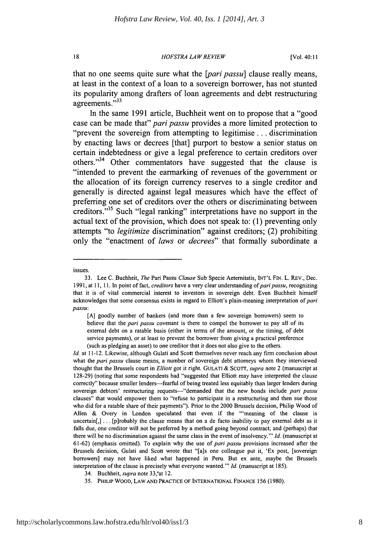*HOFSTRA LAW REVIEW*

that no one seems quite sure what the *[pari passu]* clause really means, at least in the context of a loan to a sovereign borrower, has not stunted its popularity among drafters of loan agreements and debt restructuring agreements."<sup>33</sup>

In the same **1991** article, Buchheit went on to propose that a "good case can be made that" *pari passu* provides a more limited protection to "prevent the sovereign from attempting to legitimise **...** discrimination **by** enacting laws or decrees [that] purport to bestow a senior status on certain indebtedness or give a legal preference to certain creditors over others."<sup>34</sup> Other commentators have suggested that the clause is "intended to prevent the earmarking of revenues of the government or the allocation of its foreign currency reserves to a single creditor and generally is directed against legal measures which have the effect of preferring one set of creditors over the others or discriminating between creditors.<sup>35</sup> Such "legal ranking" interpretations have no support in the actual text of the provision, which does not speak to: **(1)** preventing only attempts "to *legitimize* discrimination" against creditors; (2) prohibiting only the "enactment of *laws* or *decrees"* that formally subordinate a

18

issues.

<sup>33.</sup> Lee C. Buchheit, *The* Pari Passu *Clause* Sub Specie Aetemitatis, INT'L FIN. L. REV., Dec. 1991, at 11, 11. In point of fact, *creditors* have a very clear understanding of *pari passu*, recognizing that it is of vital commercial interest to investors in sovereign debt. Even Buchheit himself acknowledges that some consensus exists in regard to Elliott's plain-meaning interpretation of pari *passu:*

<sup>[</sup>A] goodly number of bankers (and more than a few sovereign borrowers) seem to believe that the *pari passu* covenant is there to compel the borrower to pay all of its external debt on a ratable basis (either in terms of the amount, or the timing, of debt service payments), or at least to prevent the borrower from giving a practical preference (such as pledging an asset) to one creditor that it does not also give to the others.

*Id.* at 11-12. Likewise, although Gulati and Scott themselves never reach any firm conclusion about what the *pari passu* clause means, a number of sovereign debt attorneys whom they interviewed thought that the Brussels court in *Elliott* got it right. GULATI & SCOTr, *supra* note 2 (manuscript at 128-29) (noting that some respondents had "suggested that Elliott may have interpreted the clause correctly" because smaller lenders-fearful of being treated less equitably than larger lenders during sovereign debtors' restructuring requests---"demanded that the new bonds include pari passu clauses" that would empower them to "refuse to participate in a restructuring and then sue those who did for a ratable share of their payments"). Prior to the 2000 Brussels decision, Philip Wood of Allen & Overy in London speculated that even if the "'meaning of the clause is  $uncertain[,] \ldots [plrobably the clause means that on a de facto inability to pay external debt as it$ falls due, one creditor will not be preferred by a method going beyond contract; and (perhaps) that there will be no discrimination against the same class in the event of insolvency."' *Id.* (manuscript at 61-62) (emphasis omitted). To explain why the use of *pari passu* provisions increased after the Brussels decision, Gulati and Scott wrote that "[a]s one colleague put it, 'Ex post, [sovereign borrowers] may not have liked what happened in Peru. But ex ante, maybe the Brussels interpretation of the clause is precisely what everyone wanted."' *Id.* (manuscript at 185).

<sup>34.</sup> Buchheit, *supra* note 33,'at 12.

<sup>35.</sup> PHILIP WOOD, LAW **AND PRACTICE** OF INTERNATIONAL **FINANCE 156 (1980).**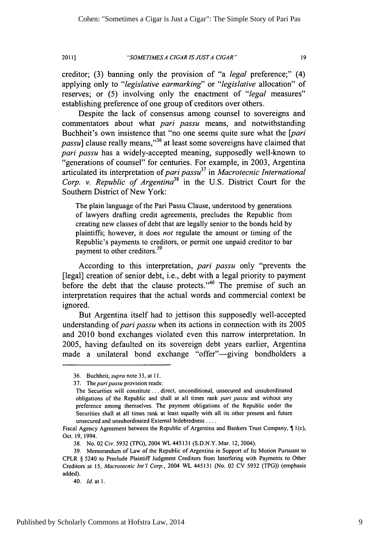*"SOMETIMES A CIGAR IS JUSTA CIGAR"* 20i1

19

creditor; (3) banning only the provision of "a *legal* preference;" (4) applying only to *"legislative earmarking"* or *"legislative* allocation" of reserves; or (5) involving only the enactment of "*legal* measures" establishing preference of one group of creditors over others.

Despite the lack of consensus among counsel to sovereigns and commentators about what *pari passu* means, and notwithstanding Buchheit's own insistence that "no one seems quite sure what the *[pari passu*] clause really means,<sup>36</sup> at least some sovereigns have claimed that *pari passu* has a widely-accepted meaning, supposedly well-known to "generations of counsel" for centuries. For example, in 2003, Argentina articulated its interpretation of *pari passu37* in *Macrotecnic International Corp. v. Republic of Argentina38* in the U.S. District Court for the Southern District of New York:

The plain language of the Pari Passu Clause, understood by generations of lawyers drafting credit agreements, precludes the Republic from creating new classes of debt that are legally senior to the bonds held by plaintiffs; however, it does *not* regulate the amount or timing of the Republic's payments to creditors, or permit one unpaid creditor to bar payment to other creditors.<sup>39</sup>

According to this interpretation, *pari passu* only "prevents the [legal] creation of senior debt, i.e., debt with a legal priority to payment before the debt that the clause protects." $40$  The premise of such an interpretation requires that the actual words and commercial context be ignored.

But Argentina itself had to jettison this supposedly well-accepted understanding of *pari passu* when its actions in connection with its 2005 and 2010 bond exchanges violated even this narrow interpretation. In 2005, having defaulted on its sovereign debt years earlier, Argentina made a unilateral bond exchange "offer"-giving bondholders a

<sup>36.</sup> Buchheit, *supra* note 33, at 11.

<sup>37.</sup> The *paripassu* provision reads:

The Securities will constitute... direct, unconditional, unsecured and unsubordinated obligations of the Republic and shall at all times rank pari *passu* and without any preference among themselves. The payment obligations of the Republic under the Securities shall at all times rank at least equally with all its other present and future unsecured and unsubordinated External Indebtedness ....

Fiscal Agency Agreement between the Republic of Argentina and Bankers Trust Company,  $\P$  *l*(c), Oct. 19, 1994.

<sup>38.</sup> No. 02 Civ. 5932 (TPG), 2004 WL445131 (S.D.N.Y. Mar. 12,2004).

<sup>39.</sup> Memorandum of Law of the Republic of Argentina in Support of Its Motion Pursuant to CPLR § 5240 to Preclude Plaintiff Judgment Creditors from Interfering with Payments to Other Creditors at 15, Macrotecnic Int'I Corp., 2004 WL 445131 (No. 02 CV 5932 (TPG)) (emphasis added).

<sup>40.</sup> *Id.* at **1.**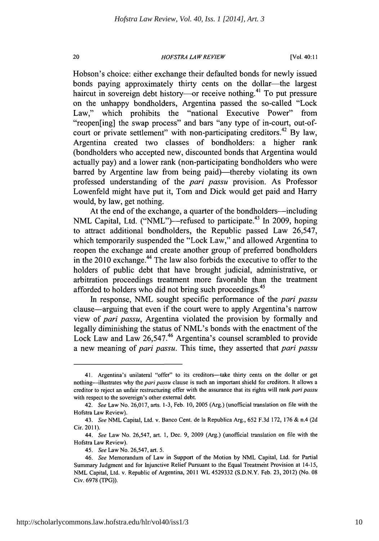#### *HOFSTRA LAWREVIEW*

20

Hobson's choice: either exchange their defaulted bonds for newly issued bonds paying approximately thirty cents on the dollar—the largest haircut in sovereign debt history—or receive nothing.<sup>41</sup> To put pressure on the unhappy bondholders, Argentina passed the so-called "Lock Law," which prohibits the "national Executive Power" from "reopen[ing] the swap process" and bars "any type of in-court, out-ofcourt or private settlement" with non-participating creditors.<sup>42</sup> By law, Argentina created two classes of bondholders: a higher rank (bondholders who accepted new, discounted bonds that Argentina would actually pay) and a lower rank (non-participating bondholders who were barred by Argentine law from being paid)—thereby violating its own professed understanding of the *pari passu* provision. As Professor Lowenfeld might have put it, Tom and Dick would get paid and Harry would, by law, get nothing.

At the end of the exchange, a quarter of the bondholders—including NML Capital, Ltd. ("NML")—refused to participate.<sup>43</sup> In 2009, hoping to attract additional bondholders, the Republic passed Law 26,547, which temporarily suspended the "Lock Law," and allowed Argentina to reopen the exchange and create another group of preferred bondholders in the 2010 exchange. 44 The law also forbids the executive to offer to the holders of public debt that have brought judicial, administrative, or arbitration proceedings treatment more favorable than the treatment afforded to holders who did not bring such proceedings.<sup>45</sup>

In response, NML sought specific performance of the *pari passu* clause-arguing that even if the court were to apply Argentina's narrow view of *pari passu,* Argentina violated the provision by formally and legally diminishing the status of NML's bonds with the enactment of the Lock Law and Law 26,547.<sup>46</sup> Argentina's counsel scrambled to provide a new meaning of *pari passu*. This time, they asserted that *pari passu* 

<sup>41.</sup> Argentina's unilateral "offer" to its creditors--take thirty cents on the dollar or get nothing-illustrates why the *pari passu* clause is such an important shield for creditors. It allows a creditor to reject an unfair restructuring offer with the assurance that its rights will rank *pari passu* with respect to the sovereign's other external debt.

<sup>42.</sup> *See* Law No. 26,017, arts. 1-3, Feb. 10, 2005 (Arg.) (unofficial translation on file with the Hofstra Law Review).

<sup>43.</sup> *See* NML Capital, Ltd. v. Banco Cent. de la Republica Arg., 652 F.3d 172, 176 & n.4 (2d Cir. 2011).

<sup>44.</sup> *See* Law No. 26,547, art. 1, Dec. 9, 2009 (Arg.) (unofficial translation on file with the Hofstra Law Review).

<sup>45.</sup> *See* Law No. 26,547, art. 5.

<sup>46.</sup> *See* Memorandum of Law in Support of the Motion by NML Capital, Ltd. for Partial Summary Judgment and for Injunctive Relief Pursuant to the Equal Treatment Provision at 14-15, NML Capital, Ltd. v. Republic of Argentina, 2011 WL 4529332 (S.D.N.Y. Feb. 23, 2012) (No. 08 Civ. 6978 (TPG)).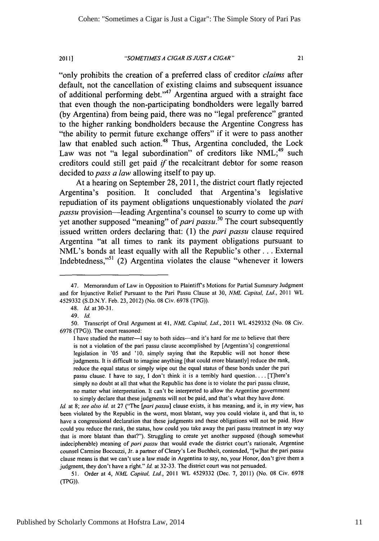#### *"SOMETI ES A CIGAR ISJUSTA CIGAR"* **20111**

 $21$ 

"only prohibits the creation of a preferred class of creditor *claims* after default, not the cancellation of existing claims and subsequent issuance of additional performing **debt.' A7** Argentina argued with a straight face that even though the non-participating bondholders were legally barred **(by** Argentina) from being paid, there was no "legal preference" granted to the higher ranking bondholders because the Argentine Congress has "the ability to permit future exchange offers" if it were to pass another law that enabled such action.<sup>48</sup> Thus, Argentina concluded, the Lock Law was not "a legal subordination" of creditors like **NML;49** such creditors could still get paid **if** the recalcitrant debtor for some reason decided to *pass a law* allowing itself to pay up.

At a hearing on September **28, 2011,** the district court flatly rejected Argentina's position. It concluded that Argentina's legislative repudiation of its payment obligations unquestionably violated the **pari** *passu* provision-leading Argentina's counsel to scurry to come up with yet another supposed "meaning" of **pari** *passu.50* The court subsequently issued written orders declaring that: **(1)** the **pari** *passu* clause required Argentina "at all times to rank its payment obligations pursuant to NML's bonds at least equally with all the Republic's other... External Indebtedness,"51 (2) Argentina violates the clause "whenever it lowers

Id. at 8; *see* also id. at 27 ("The [pari *passu]* clause exists, it has meaning, and it, in my view, has been violated by the Republic in the worst, most blatant, way you could violate it, and that is, to have a congressional declaration that these judgments and these obligations will not be paid. How could you reduce the rank, the status, how could you take away the pari passu treatment in any way that is more blatant than that?"). Struggling to create yet another supposed (though somewhat indecipherable) meaning of *pari passu* that would evade the district court's rationale, Argentine counsel Carmine Boccuzzi, Jr. a partner of Cleary's Lee Buchheit, contended, "[w]hat the pari passu clause means is that we can't use a law made in Argentina to say, no, your Honor, don't give them a judgment, they don't have a right." **Id.** at 32-33. The district court was not persuaded.

<sup>47.</sup> Memorandum of Law in Opposition to Plaintiff's Motions for Partial Summary Judgment and for Injunctive Relief Pursuant to the Pani Passu Clause at 30, *NML Capital, Ltd.,* 2011 WL 4529332 (S.D.N.Y. Feb. 23, 2012) (No. 08 Civ. 6978 (TPG)).

<sup>48.</sup> Id.at3O-31.

<sup>49.</sup> *Id.*

**<sup>50.</sup>** Transcript of Oral Argument at 41, *NML Capital, Ltd.,* 2011 WL 4529332 (No. 08 Civ. 6978 (TPG)). The court reasoned:

I have studied the matter-I say to both sides--and it's hard for me to believe that there is not a violation of the pari passu clause accomplished by [Argentina's] congressional legislation in '05 and '10. simply saying that the Republic will not honor these judgments. It is difficult to imagine anything [that could more blatantly] reduce the rank, reduce the equal status or simply wipe out the equal status of these bonds under the pari passu clause. **I** have to say, I don't think it is a terribly hard question.... [T]here's simply no doubt at all that what the Republic has done is to violate the pari passu clause, no matter what interpretation. It can't be interpreted to allow the Argentine government to simply declare that these judgments will not be paid, and that's what they have done.

*<sup>51.</sup>* Order at 4, *NML Capital, Ltd.,* 2011 WL 4529332 (Dec. 7, 2011) (No. 08 Civ. 6978 (TPG)).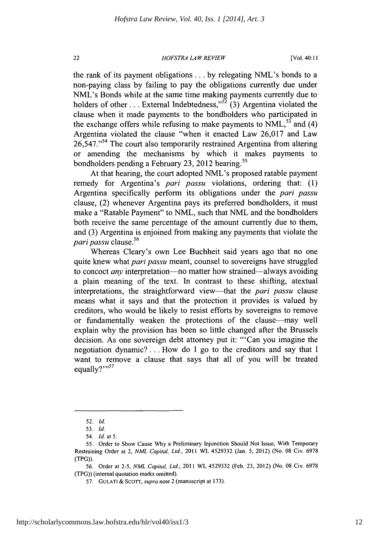#### *HOFSTRA LA W REVIEW*

the rank of its payment obligations... by relegating NML's bonds to a non-paying class by failing to pay the obligations currently due under NML's Bonds while at the same time making payments currently due to holders of other  $\dots$  External Indebtedness,"<sup>52</sup> (3) Argentina violated the clause when it made payments to the bondholders who participated in the exchange offers while refusing to make payments to  $NML$ <sup>53</sup> and (4) Argentina violated the clause "when it enacted Law 26,017 and Law 26,547."<sup>54</sup> The court also temporarily restrained Argentina from altering or amending the mechanisms by which it makes payments to bondholders pending a February 23, 2012 hearing.<sup>55</sup>

At that hearing, the court adopted NML's proposed ratable payment remedy for Argentina's pari *passu* violations, ordering that: (1) Argentina specifically perform its obligations under the pari *passu* clause, (2) whenever Argentina pays its preferred bondholders, it must make a "Ratable Payment" to NML, such that NML and the bondholders both receive the same percentage of the amount currently due to them, and (3) Argentina is enjoined from making any payments that violate the pari *passu* clause.<sup>56</sup>

Whereas Cleary's own Lee Buchheit said years ago that no one quite knew what pari *passu* meant, counsel to sovereigns have struggled to concoct *any* interpretation—no matter how strained—always avoiding a plain meaning of the text. In contrast to these shifting, atextual interpretations, the straightforward view-that the pari *passu* clause means what it says and that the protection it provides is valued by creditors, who would be likely to resist efforts by sovereigns to remove or fundamentally weaken the protections of the clause—may well explain why the provision has been so little changed after the Brussels decision. As one sovereign debt attorney put it: "'Can you imagine the negotiation dynamic? **...** How do I go to the creditors and say that I want to remove a clause that says that all of you will be treated equally?"<sup>57</sup>

 $22$ 

<sup>52.</sup> *Id.*

<sup>53.</sup> *Id.*

*<sup>54.</sup> Id. at* 5.

<sup>55.</sup> Order to Show Cause Why a Preliminary Injunction Should Not Issue, With Temporary Restraining Order at 2, *NML Capital, Ltd.,* 2011 WL 4529332 (Jan. 5, 2012) (No. 08 Civ. 6978 (TPG)).

<sup>56.</sup> Order at 2-5, *NML Capital, Ltd.,* 2011 WL 4529332 (Feb. 23, 2012) (No. 08 Civ. 6978 (TPG)) (internal quotation marks omitted).

<sup>57.</sup> GULATI **&** SCOTr, *supra* note 2 (manuscript at 173).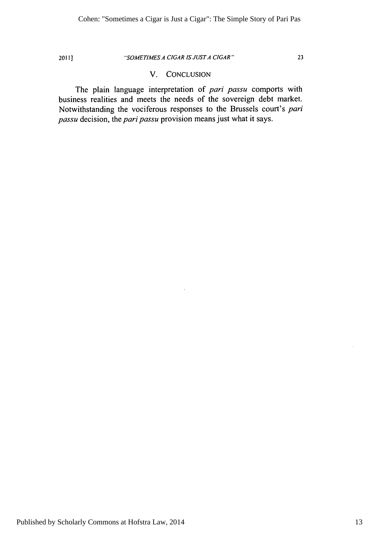#### 2011] *"SOMETIMES A CIGAR IS JUSTA CIGAR"* 23

#### V. CONCLUSION

The plain language interpretation of pari *passu* comports with business realities and meets the needs of the sovereign debt market. Notwithstanding the vociferous responses to the Brussels court's pari *passu* decision, the pari *passu* provision means just what it says.